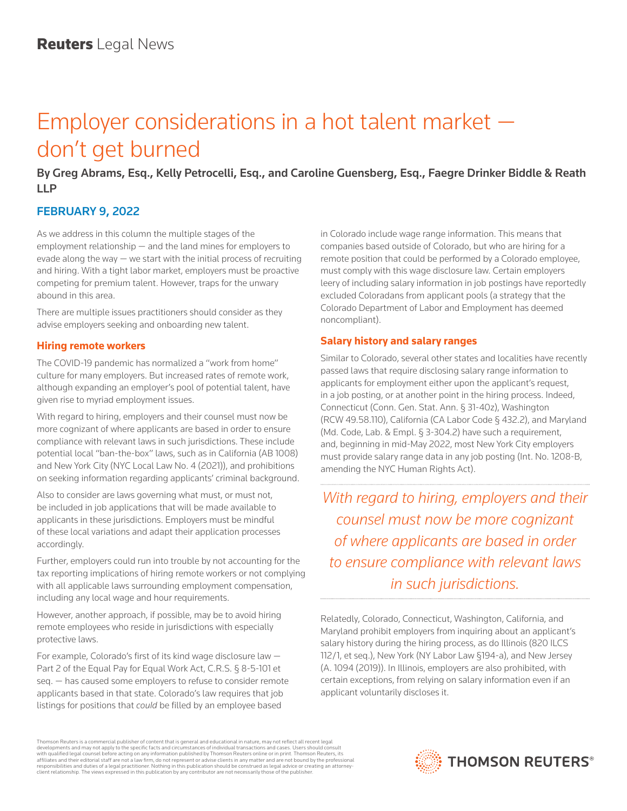# Employer considerations in a hot talent market don't get burned

By Greg Abrams, Esq., Kelly Petrocelli, Esq., and Caroline Guensberg, Esq., Faegre Drinker Biddle & Reath LLP

## FEBRUARY 9, 2022

As we address in this column the multiple stages of the employment relationship — and the land mines for employers to evade along the way  $-$  we start with the initial process of recruiting and hiring. With a tight labor market, employers must be proactive competing for premium talent. However, traps for the unwary abound in this area.

There are multiple issues practitioners should consider as they advise employers seeking and onboarding new talent.

### **Hiring remote workers**

The COVID-19 pandemic has normalized a "work from home" culture for many employers. But increased rates of remote work, although expanding an employer's pool of potential talent, have given rise to myriad employment issues.

With regard to hiring, employers and their counsel must now be more cognizant of where applicants are based in order to ensure compliance with relevant laws in such jurisdictions. These include potential local "ban-the-box" laws, such as in California (AB 1008) and New York City (NYC Local Law No. 4 (2021)), and prohibitions on seeking information regarding applicants' criminal background.

Also to consider are laws governing what must, or must not, be included in job applications that will be made available to applicants in these jurisdictions. Employers must be mindful of these local variations and adapt their application processes accordingly.

Further, employers could run into trouble by not accounting for the tax reporting implications of hiring remote workers or not complying with all applicable laws surrounding employment compensation, including any local wage and hour requirements.

However, another approach, if possible, may be to avoid hiring remote employees who reside in jurisdictions with especially protective laws.

For example, Colorado's first of its kind wage disclosure law — Part 2 of the Equal Pay for Equal Work Act, C.R.S. § 8-5-101 et seq. — has caused some employers to refuse to consider remote applicants based in that state. Colorado's law requires that job listings for positions that *could* be filled by an employee based

in Colorado include wage range information. This means that companies based outside of Colorado, but who are hiring for a remote position that could be performed by a Colorado employee, must comply with this wage disclosure law. Certain employers leery of including salary information in job postings have reportedly excluded Coloradans from applicant pools (a strategy that the Colorado Department of Labor and Employment has deemed noncompliant).

## **Salary history and salary ranges**

Similar to Colorado, several other states and localities have recently passed laws that require disclosing salary range information to applicants for employment either upon the applicant's request, in a job posting, or at another point in the hiring process. Indeed, Connecticut (Conn. Gen. Stat. Ann. § 31-40z), Washington (RCW 49.58.110), California (CA Labor Code § 432.2), and Maryland (Md. Code, Lab. & Empl. § 3-304.2) have such a requirement, and, beginning in mid-May 2022, most New York City employers must provide salary range data in any job posting (Int. No. 1208-B, amending the NYC Human Rights Act).

*With regard to hiring, employers and their counsel must now be more cognizant of where applicants are based in order to ensure compliance with relevant laws in such jurisdictions.*

Relatedly, Colorado, Connecticut, Washington, California, and Maryland prohibit employers from inquiring about an applicant's salary history during the hiring process, as do Illinois (820 ILCS 112/1, et seq.), New York (NY Labor Law §194-a), and New Jersey (A. 1094 (2019)). In Illinois, employers are also prohibited, with certain exceptions, from relying on salary information even if an applicant voluntarily discloses it.

Thomson Reuters is a commercial publisher of content that is general and educational in nature, may not reflect all recent legal developments and may not apply to the specific facts and circumstances of individual transactions and cases. Users should consult<br>with qualified legal counsel before acting on any information published by Thomson Reuters o responsibilities and duties of a legal practitioner. Nothing in this publication should be construed as legal advice or creating an attorneyclient relationship. The views expressed in this publication by any contributor are not necessarily those of the publisher.

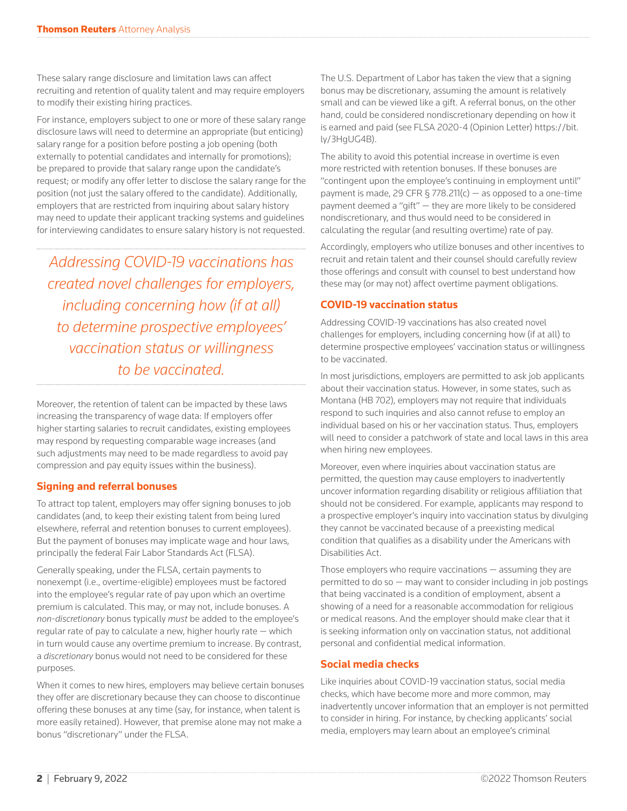These salary range disclosure and limitation laws can affect recruiting and retention of quality talent and may require employers to modify their existing hiring practices.

For instance, employers subject to one or more of these salary range disclosure laws will need to determine an appropriate (but enticing) salary range for a position before posting a job opening (both externally to potential candidates and internally for promotions); be prepared to provide that salary range upon the candidate's request; or modify any offer letter to disclose the salary range for the position (not just the salary offered to the candidate). Additionally, employers that are restricted from inquiring about salary history may need to update their applicant tracking systems and guidelines for interviewing candidates to ensure salary history is not requested.

*Addressing COVID-19 vaccinations has created novel challenges for employers, including concerning how (if at all) to determine prospective employees' vaccination status or willingness to be vaccinated.*

Moreover, the retention of talent can be impacted by these laws increasing the transparency of wage data: If employers offer higher starting salaries to recruit candidates, existing employees may respond by requesting comparable wage increases (and such adjustments may need to be made regardless to avoid pay compression and pay equity issues within the business).

#### **Signing and referral bonuses**

To attract top talent, employers may offer signing bonuses to job candidates (and, to keep their existing talent from being lured elsewhere, referral and retention bonuses to current employees). But the payment of bonuses may implicate wage and hour laws, principally the federal Fair Labor Standards Act (FLSA).

Generally speaking, under the FLSA, certain payments to nonexempt (i.e., overtime-eligible) employees must be factored into the employee's regular rate of pay upon which an overtime premium is calculated. This may, or may not, include bonuses. A *non-discretionary* bonus typically *must* be added to the employee's regular rate of pay to calculate a new, higher hourly rate — which in turn would cause any overtime premium to increase. By contrast, a *discretionary* bonus would not need to be considered for these purposes.

When it comes to new hires, employers may believe certain bonuses they offer are discretionary because they can choose to discontinue offering these bonuses at any time (say, for instance, when talent is more easily retained). However, that premise alone may not make a bonus "discretionary" under the FLSA.

The U.S. Department of Labor has taken the view that a signing bonus may be discretionary, assuming the amount is relatively small and can be viewed like a gift. A referral bonus, on the other hand, could be considered nondiscretionary depending on how it is earned and paid (see FLSA 2020-4 (Opinion Letter) https://bit. ly/3HgUG4B).

The ability to avoid this potential increase in overtime is even more restricted with retention bonuses. If these bonuses are "contingent upon the employee's continuing in employment until" payment is made, 29 CFR  $\S$  778.211(c) – as opposed to a one-time payment deemed a "gift" — they are more likely to be considered nondiscretionary, and thus would need to be considered in calculating the regular (and resulting overtime) rate of pay.

Accordingly, employers who utilize bonuses and other incentives to recruit and retain talent and their counsel should carefully review those offerings and consult with counsel to best understand how these may (or may not) affect overtime payment obligations.

### **COVID-19 vaccination status**

Addressing COVID-19 vaccinations has also created novel challenges for employers, including concerning how (if at all) to determine prospective employees' vaccination status or willingness to be vaccinated.

In most jurisdictions, employers are permitted to ask job applicants about their vaccination status. However, in some states, such as Montana (HB 702), employers may not require that individuals respond to such inquiries and also cannot refuse to employ an individual based on his or her vaccination status. Thus, employers will need to consider a patchwork of state and local laws in this area when hiring new employees.

Moreover, even where inquiries about vaccination status are permitted, the question may cause employers to inadvertently uncover information regarding disability or religious affiliation that should not be considered. For example, applicants may respond to a prospective employer's inquiry into vaccination status by divulging they cannot be vaccinated because of a preexisting medical condition that qualifies as a disability under the Americans with Disabilities Act.

Those employers who require vaccinations — assuming they are permitted to do so — may want to consider including in job postings that being vaccinated is a condition of employment, absent a showing of a need for a reasonable accommodation for religious or medical reasons. And the employer should make clear that it is seeking information only on vaccination status, not additional personal and confidential medical information.

## **Social media checks**

Like inquiries about COVID-19 vaccination status, social media checks, which have become more and more common, may inadvertently uncover information that an employer is not permitted to consider in hiring. For instance, by checking applicants' social media, employers may learn about an employee's criminal